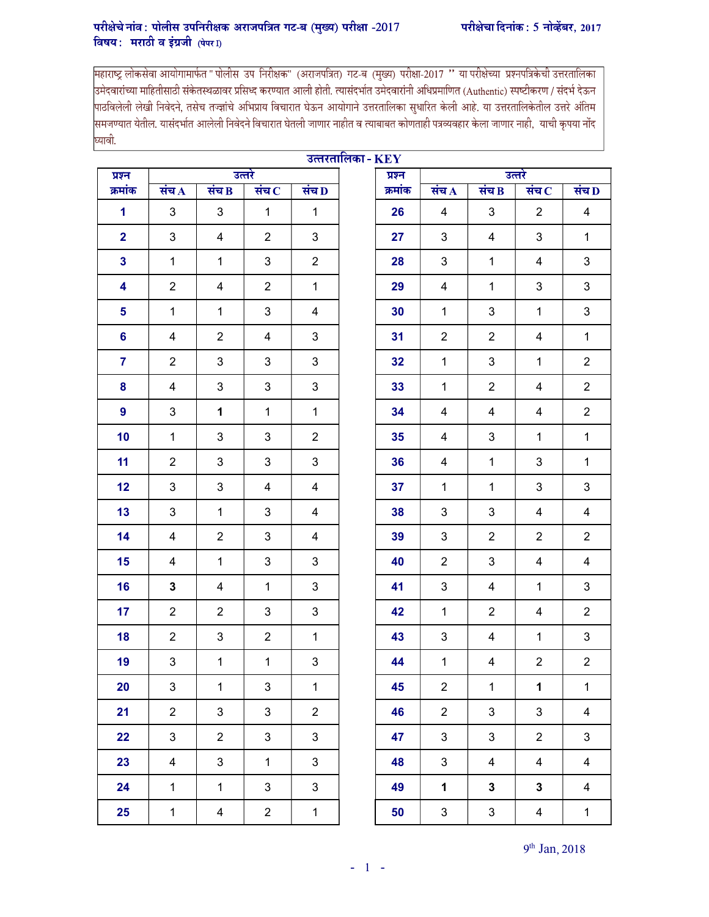## परीक्षेचे नांव: पोलीस उपनिरीक्षक अराजपत्रित गट-ब (मुख्य) परीक्षा -2017 परीक्षेचा दिनांक: 5 नोव्हेंबर, 2017 विषय: मराठी व इंग्रजी  $(\vec{u}$ पर $\vec{D})$

महाराष्ट्र लोकसेवा आयोगामार्फत " पोलीस उप निरीक्षक" (अराजपत्रित) गट-ब (मुख्य) परीक्षा-2017 '' या परीक्षेच्या प्रश्नपत्रिकेची उत्तरतालिका<br>उमेदवारांच्या माहितीसाठी संकेतस्थळावर प्रसिध्द करण्यात आली होती. त्यासंदर्भ |<br>|पाठविलेली लेखी निवेदने, तसेच तज्ज्ञांचे अभिप्राय विचारात घेऊन आयोगाने उत्तरतालिका सुधारित केली आहे. या उत्तरतालिकेतील उत्तरे अंतिम |<br>|समजण्यात येतील. यासंदर्भात आलेली निवेदने विचारात घेतली जाणार नाहीत व त्याबाबत कोणताही पत्रव्यवहार केला जाणार नाही, याची कृपया नोंद घ्यावी.

| उत्तरतालिका - $\mathbf{KEY}$ |                           |                           |                |                           |  |         |                           |                |                         |                         |
|------------------------------|---------------------------|---------------------------|----------------|---------------------------|--|---------|---------------------------|----------------|-------------------------|-------------------------|
| प्रश्न                       |                           |                           | उत्तरे         |                           |  | प्रश्न  | उत्तरे                    |                |                         |                         |
| क्रमांक                      | संच $\Lambda$             | संच $\bf{B}$              | संच $\,$       | संच $\bf{D}$              |  | क्रमांक | संच $\bf A$               | संच $\bf{B}$   | संच $\, {\bf c}$        | संच D                   |
| 1                            | 3                         | $\sqrt{3}$                | $\mathbf{1}$   | $\mathbf{1}$              |  | 26      | 4                         | 3              | $\overline{c}$          | 4                       |
| $\overline{2}$               | $\mathfrak{B}$            | $\overline{\mathbf{4}}$   | $\overline{2}$ | 3                         |  | 27      | 3                         | 4              | 3                       | $\mathbf{1}$            |
| $\mathbf{3}$                 | $\mathbf{1}$              | $\mathbf{1}$              | 3              | $\overline{2}$            |  | 28      | $\sqrt{3}$                | $\mathbf{1}$   | 4                       | $\mathfrak{S}$          |
| 4                            | $\overline{2}$            | 4                         | $\overline{2}$ | $\mathbf{1}$              |  | 29      | 4                         | $\mathbf 1$    | $\mathbf{3}$            | $\sqrt{3}$              |
| 5                            | $\mathbf 1$               | $\mathbf{1}$              | 3              | 4                         |  | 30      | $\mathbf 1$               | 3              | $\mathbf 1$             | $\mathfrak{S}$          |
| 6                            | 4                         | $\overline{2}$            | 4              | 3                         |  | 31      | $\overline{2}$            | $\overline{2}$ | 4                       | $\mathbf{1}$            |
| $\overline{7}$               | $\overline{2}$            | $\sqrt{3}$                | 3              | 3                         |  | 32      | $\mathbf{1}$              | 3              | $\mathbf{1}$            | $\overline{2}$          |
| 8                            | 4                         | $\mathsf 3$               | 3              | 3                         |  | 33      | $\mathbf{1}$              | $\overline{2}$ | 4                       | $\overline{2}$          |
| $\boldsymbol{9}$             | $\mathfrak{B}$            | 1                         | $\mathbf{1}$   | $\mathbf{1}$              |  | 34      | 4                         | 4              | 4                       | $\overline{2}$          |
| 10                           | $\mathbf{1}$              | $\mathsf 3$               | 3              | $\overline{2}$            |  | 35      | $\overline{4}$            | 3              | $\mathbf{1}$            | $\mathbf{1}$            |
| 11                           | $\overline{2}$            | 3                         | 3              | 3                         |  | 36      | 4                         | $\mathbf{1}$   | 3                       | $\mathbf{1}$            |
| 12                           | $\mathfrak{B}$            | $\mathsf 3$               | $\overline{4}$ | 4                         |  | 37      | $\mathbf{1}$              | $\mathbf{1}$   | 3                       | 3                       |
| 13                           | 3                         | $\mathbf{1}$              | 3              | 4                         |  | 38      | 3                         | 3              | 4                       | $\overline{\mathbf{4}}$ |
| 14                           | 4                         | $\overline{2}$            | 3              | 4                         |  | 39      | $\mathbf{3}$              | $\overline{2}$ | $\overline{2}$          | $\overline{2}$          |
| 15                           | 4                         | $\mathbf{1}$              | 3              | 3                         |  | 40      | $\overline{2}$            | 3              | 4                       | 4                       |
| 16                           | 3                         | 4                         | $\mathbf{1}$   | 3                         |  | 41      | $\mathbf{3}$              | 4              | $\mathbf{1}$            | 3                       |
| 17                           | $\overline{2}$            | $\overline{2}$            | 3              | 3                         |  | 42      | $\mathbf{1}$              | $\overline{2}$ | $\overline{\mathbf{4}}$ | $\overline{2}$          |
| 18                           | $\overline{2}$            | $\ensuremath{\mathsf{3}}$ | $\overline{2}$ | $\mathbf{1}$              |  | 43      | $\ensuremath{\mathsf{3}}$ | 4              | $\mathbf{1}$            | $\mathfrak{S}$          |
| 19                           | $\ensuremath{\mathsf{3}}$ | $\mathbf{1}$              | $\mathbf{1}$   | $\ensuremath{\mathsf{3}}$ |  | 44      | $\mathbf{1}$              | 4              | $\overline{2}$          | $\overline{2}$          |
| 20                           | $\mathfrak{S}$            | $\mathbf{1}$              | $\mathbf{3}$   | $\mathbf{1}$              |  | 45      | $\overline{2}$            | $\mathbf{1}$   | $\mathbf{1}$            | $\mathbf{1}$            |
| 21                           | $\overline{2}$            | $\mathfrak{S}$            | 3              | $\overline{2}$            |  | 46      | $\overline{2}$            | $\mathfrak{S}$ | 3                       | $\overline{4}$          |
| 22                           | $\mathbf{3}$              | $\overline{2}$            | 3              | 3                         |  | 47      | $\mathbf{3}$              | 3              | $\overline{2}$          | $\mathfrak{S}$          |
| 23                           | $\overline{4}$            | $\mathbf{3}$              | $\mathbf{1}$   | 3                         |  | 48      | $\mathbf{3}$              | 4              | $\overline{4}$          | $\overline{4}$          |
| 24                           | $\mathbf{1}$              | $\mathbf{1}$              | $\mathbf{3}$   | $\mathbf{3}$              |  | 49      | $\mathbf 1$               | $\mathbf{3}$   | $\mathbf 3$             | $\overline{4}$          |
| 25                           | $\mathbf 1$               | $\overline{\mathbf{4}}$   | $\overline{2}$ | $\mathbf{1}$              |  | 50      | $\mathbf{3}$              | $\mathbf{3}$   | $\overline{4}$          | $\mathbf{1}$            |

9<sup>th</sup> Jan, 2018